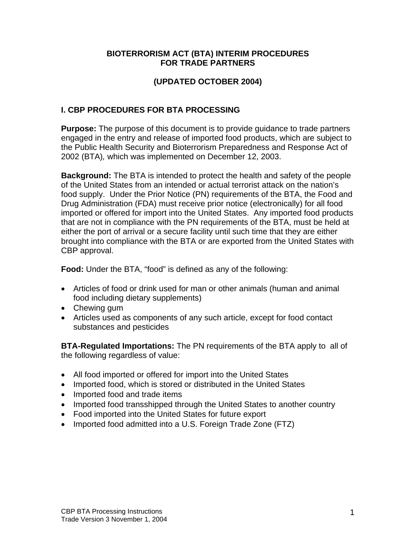### **BIOTERRORISM ACT (BTA) INTERIM PROCEDURES FOR TRADE PARTNERS**

# **(UPDATED OCTOBER 2004)**

# **I. CBP PROCEDURES FOR BTA PROCESSING**

**Purpose:** The purpose of this document is to provide guidance to trade partners engaged in the entry and release of imported food products, which are subject to the Public Health Security and Bioterrorism Preparedness and Response Act of 2002 (BTA)*,* which was implemented on December 12, 2003.

**Background:** The BTA is intended to protect the health and safety of the people of the United States from an intended or actual terrorist attack on the nation's food supply. Under the Prior Notice (PN) requirements of the BTA, the Food and Drug Administration (FDA) must receive prior notice (electronically) for all food imported or offered for import into the United States. Any imported food products that are not in compliance with the PN requirements of the BTA, must be held at either the port of arrival or a secure facility until such time that they are either brought into compliance with the BTA or are exported from the United States with CBP approval.

**Food:** Under the BTA, "food" is defined as any of the following:

- Articles of food or drink used for man or other animals (human and animal food including dietary supplements)
- Chewing gum
- Articles used as components of any such article, except for food contact substances and pesticides

**BTA-Regulated Importations:** The PN requirements of the BTA apply to all of the following regardless of value:

- All food imported or offered for import into the United States
- Imported food, which is stored or distributed in the United States
- Imported food and trade items
- Imported food transshipped through the United States to another country
- Food imported into the United States for future export
- Imported food admitted into a U.S. Foreign Trade Zone (FTZ)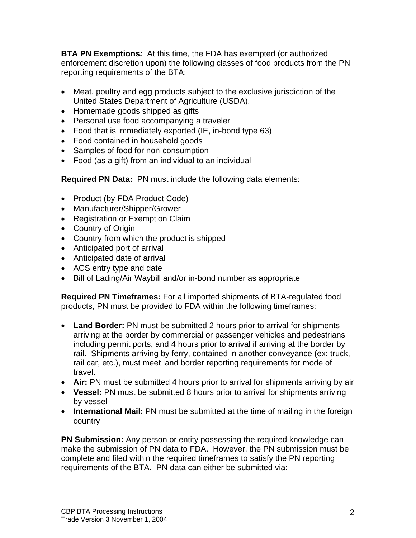**BTA PN Exemptions***:* At this time, the FDA has exempted (or authorized enforcement discretion upon) the following classes of food products from the PN reporting requirements of the BTA:

- Meat, poultry and egg products subject to the exclusive jurisdiction of the United States Department of Agriculture (USDA).
- Homemade goods shipped as gifts
- Personal use food accompanying a traveler
- Food that is immediately exported (IE, in-bond type 63)
- Food contained in household goods
- Samples of food for non-consumption
- Food (as a gift) from an individual to an individual

**Required PN Data:** PN must include the following data elements:

- Product (by FDA Product Code)
- Manufacturer/Shipper/Grower
- Registration or Exemption Claim
- Country of Origin
- Country from which the product is shipped
- Anticipated port of arrival
- Anticipated date of arrival
- ACS entry type and date
- Bill of Lading/Air Waybill and/or in-bond number as appropriate

**Required PN Timeframes:** For all imported shipments of BTA-regulated food products, PN must be provided to FDA within the following timeframes:

- **Land Border:** PN must be submitted 2 hours prior to arrival for shipments arriving at the border by commercial or passenger vehicles and pedestrians including permit ports, and 4 hours prior to arrival if arriving at the border by rail. Shipments arriving by ferry, contained in another conveyance (ex: truck, rail car, etc.), must meet land border reporting requirements for mode of travel.
- **Air:** PN must be submitted 4 hours prior to arrival for shipments arriving by air
- **Vessel:** PN must be submitted 8 hours prior to arrival for shipments arriving by vessel
- **International Mail:** PN must be submitted at the time of mailing in the foreign country

**PN Submission:** Any person or entity possessing the required knowledge can make the submission of PN data to FDA. However, the PN submission must be complete and filed within the required timeframes to satisfy the PN reporting requirements of the BTA. PN data can either be submitted via: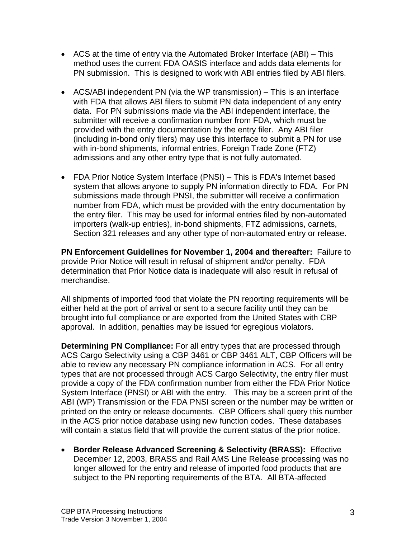- ACS at the time of entry via the Automated Broker Interface (ABI) This method uses the current FDA OASIS interface and adds data elements for PN submission. This is designed to work with ABI entries filed by ABI filers.
- ACS/ABI independent PN (via the WP transmission) This is an interface with FDA that allows ABI filers to submit PN data independent of any entry data. For PN submissions made via the ABI independent interface, the submitter will receive a confirmation number from FDA, which must be provided with the entry documentation by the entry filer. Any ABI filer (including in-bond only filers) may use this interface to submit a PN for use with in-bond shipments, informal entries, Foreign Trade Zone (FTZ) admissions and any other entry type that is not fully automated.
- FDA Prior Notice System Interface (PNSI) This is FDA's Internet based system that allows anyone to supply PN information directly to FDA. For PN submissions made through PNSI, the submitter will receive a confirmation number from FDA, which must be provided with the entry documentation by the entry filer. This may be used for informal entries filed by non-automated importers (walk-up entries), in-bond shipments, FTZ admissions, carnets, Section 321 releases and any other type of non-automated entry or release.

**PN Enforcement Guidelines for November 1, 2004 and thereafter:** Failure to provide Prior Notice will result in refusal of shipment and/or penalty. FDA determination that Prior Notice data is inadequate will also result in refusal of merchandise.

All shipments of imported food that violate the PN reporting requirements will be either held at the port of arrival or sent to a secure facility until they can be brought into full compliance or are exported from the United States with CBP approval. In addition, penalties may be issued for egregious violators.

**Determining PN Compliance:** For all entry types that are processed through ACS Cargo Selectivity using a CBP 3461 or CBP 3461 ALT, CBP Officers will be able to review any necessary PN compliance information in ACS. For all entry types that are not processed through ACS Cargo Selectivity, the entry filer must provide a copy of the FDA confirmation number from either the FDA Prior Notice System Interface (PNSI) or ABI with the entry. This may be a screen print of the ABI (WP) Transmission or the FDA PNSI screen or the number may be written or printed on the entry or release documents. CBP Officers shall query this number in the ACS prior notice database using new function codes. These databases will contain a status field that will provide the current status of the prior notice.

 **Border Release Advanced Screening & Selectivity (BRASS):** Effective December 12, 2003, BRASS and Rail AMS Line Release processing was no longer allowed for the entry and release of imported food products that are subject to the PN reporting requirements of the BTA. All BTA-affected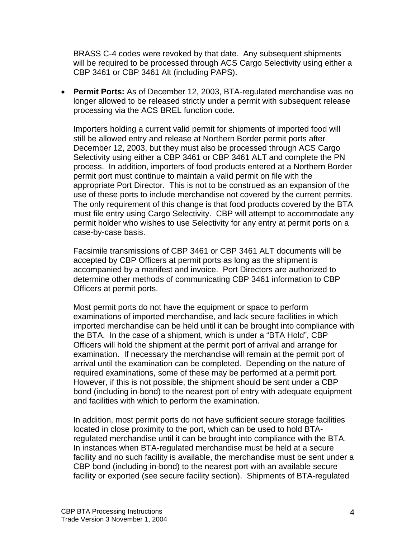BRASS C-4 codes were revoked by that date. Any subsequent shipments will be required to be processed through ACS Cargo Selectivity using either a CBP 3461 or CBP 3461 Alt (including PAPS).

 **Permit Ports:** As of December 12, 2003, BTA-regulated merchandise was no longer allowed to be released strictly under a permit with subsequent release processing via the ACS BREL function code.

Importers holding a current valid permit for shipments of imported food will still be allowed entry and release at Northern Border permit ports after December 12, 2003, but they must also be processed through ACS Cargo Selectivity using either a CBP 3461 or CBP 3461 ALT and complete the PN process. In addition, importers of food products entered at a Northern Border permit port must continue to maintain a valid permit on file with the appropriate Port Director. This is not to be construed as an expansion of the use of these ports to include merchandise not covered by the current permits. The only requirement of this change is that food products covered by the BTA must file entry using Cargo Selectivity. CBP will attempt to accommodate any permit holder who wishes to use Selectivity for any entry at permit ports on a case-by-case basis.

Facsimile transmissions of CBP 3461 or CBP 3461 ALT documents will be accepted by CBP Officers at permit ports as long as the shipment is accompanied by a manifest and invoice. Port Directors are authorized to determine other methods of communicating CBP 3461 information to CBP Officers at permit ports.

Most permit ports do not have the equipment or space to perform examinations of imported merchandise, and lack secure facilities in which imported merchandise can be held until it can be brought into compliance with the BTA. In the case of a shipment, which is under a "BTA Hold", CBP Officers will hold the shipment at the permit port of arrival and arrange for examination. If necessary the merchandise will remain at the permit port of arrival until the examination can be completed. Depending on the nature of required examinations, some of these may be performed at a permit port. However, if this is not possible, the shipment should be sent under a CBP bond (including in-bond) to the nearest port of entry with adequate equipment and facilities with which to perform the examination.

In addition, most permit ports do not have sufficient secure storage facilities located in close proximity to the port, which can be used to hold BTAregulated merchandise until it can be brought into compliance with the BTA. In instances when BTA-regulated merchandise must be held at a secure facility and no such facility is available, the merchandise must be sent under a CBP bond (including in-bond) to the nearest port with an available secure facility or exported (see secure facility section). Shipments of BTA-regulated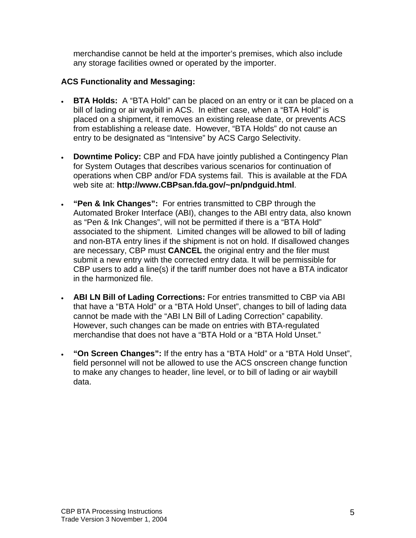merchandise cannot be held at the importer's premises, which also include any storage facilities owned or operated by the importer.

### **ACS Functionality and Messaging:**

- **BTA Holds:** A "BTA Hold" can be placed on an entry or it can be placed on a bill of lading or air waybill in ACS. In either case, when a "BTA Hold" is placed on a shipment, it removes an existing release date, or prevents ACS from establishing a release date. However, "BTA Holds" do not cause an entry to be designated as "Intensive" by ACS Cargo Selectivity.
- **Downtime Policy:** CBP and FDA have jointly published a Contingency Plan for System Outages that describes various scenarios for continuation of operations when CBP and/or FDA systems fail. This is available at the FDA web site at: **http://www.CBPsan.fda.gov/~pn/pndguid.html**.
- **"Pen & Ink Changes":** For entries transmitted to CBP through the Automated Broker Interface (ABI), changes to the ABI entry data, also known as "Pen & Ink Changes", will not be permitted if there is a "BTA Hold" associated to the shipment. Limited changes will be allowed to bill of lading and non-BTA entry lines if the shipment is not on hold. If disallowed changes are necessary, CBP must **CANCEL** the original entry and the filer must submit a new entry with the corrected entry data. It will be permissible for CBP users to add a line(s) if the tariff number does not have a BTA indicator in the harmonized file.
- **ABI LN Bill of Lading Corrections:** For entries transmitted to CBP via ABI that have a "BTA Hold" or a "BTA Hold Unset", changes to bill of lading data cannot be made with the "ABI LN Bill of Lading Correction" capability. However, such changes can be made on entries with BTA-regulated merchandise that does not have a "BTA Hold or a "BTA Hold Unset."
- **"On Screen Changes":** If the entry has a "BTA Hold" or a "BTA Hold Unset", field personnel will not be allowed to use the ACS onscreen change function to make any changes to header, line level, or to bill of lading or air waybill data.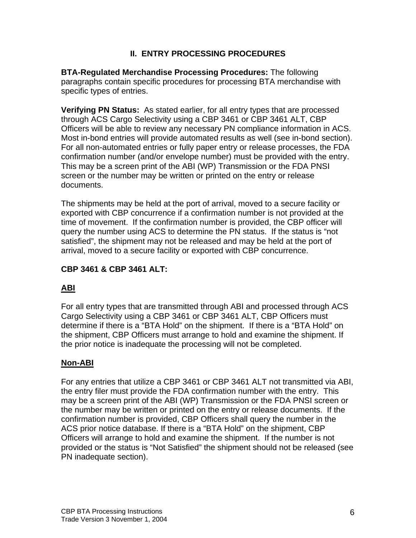## **II. ENTRY PROCESSING PROCEDURES**

**BTA-Regulated Merchandise Processing Procedures:** The following paragraphs contain specific procedures for processing BTA merchandise with specific types of entries.

**Verifying PN Status:** As stated earlier, for all entry types that are processed through ACS Cargo Selectivity using a CBP 3461 or CBP 3461 ALT, CBP Officers will be able to review any necessary PN compliance information in ACS. Most in-bond entries will provide automated results as well (see in-bond section). For all non-automated entries or fully paper entry or release processes, the FDA confirmation number (and/or envelope number) must be provided with the entry. This may be a screen print of the ABI (WP) Transmission or the FDA PNSI screen or the number may be written or printed on the entry or release documents.

The shipments may be held at the port of arrival, moved to a secure facility or exported with CBP concurrence if a confirmation number is not provided at the time of movement. If the confirmation number is provided, the CBP officer will query the number using ACS to determine the PN status. If the status is "not satisfied", the shipment may not be released and may be held at the port of arrival, moved to a secure facility or exported with CBP concurrence.

# **CBP 3461 & CBP 3461 ALT:**

## **ABI**

For all entry types that are transmitted through ABI and processed through ACS Cargo Selectivity using a CBP 3461 or CBP 3461 ALT, CBP Officers must determine if there is a "BTA Hold" on the shipment. If there is a "BTA Hold" on the shipment, CBP Officers must arrange to hold and examine the shipment. If the prior notice is inadequate the processing will not be completed.

## **Non-ABI**

For any entries that utilize a CBP 3461 or CBP 3461 ALT not transmitted via ABI, the entry filer must provide the FDA confirmation number with the entry. This may be a screen print of the ABI (WP) Transmission or the FDA PNSI screen or the number may be written or printed on the entry or release documents. If the confirmation number is provided, CBP Officers shall query the number in the ACS prior notice database. If there is a "BTA Hold" on the shipment, CBP Officers will arrange to hold and examine the shipment. If the number is not provided or the status is "Not Satisfied" the shipment should not be released (see PN inadequate section).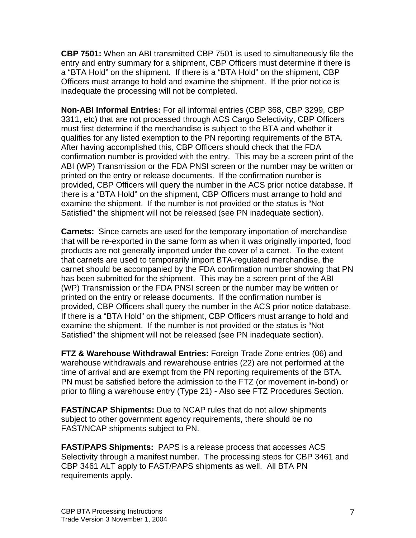**CBP 7501:** When an ABI transmitted CBP 7501 is used to simultaneously file the entry and entry summary for a shipment, CBP Officers must determine if there is a "BTA Hold" on the shipment. If there is a "BTA Hold" on the shipment, CBP Officers must arrange to hold and examine the shipment. If the prior notice is inadequate the processing will not be completed.

**Non-ABI Informal Entries:** For all informal entries (CBP 368, CBP 3299, CBP 3311, etc) that are not processed through ACS Cargo Selectivity, CBP Officers must first determine if the merchandise is subject to the BTA and whether it qualifies for any listed exemption to the PN reporting requirements of the BTA. After having accomplished this, CBP Officers should check that the FDA confirmation number is provided with the entry. This may be a screen print of the ABI (WP) Transmission or the FDA PNSI screen or the number may be written or printed on the entry or release documents. If the confirmation number is provided, CBP Officers will query the number in the ACS prior notice database. If there is a "BTA Hold" on the shipment, CBP Officers must arrange to hold and examine the shipment. If the number is not provided or the status is "Not Satisfied" the shipment will not be released (see PN inadequate section).

**Carnets:** Since carnets are used for the temporary importation of merchandise that will be re-exported in the same form as when it was originally imported, food products are not generally imported under the cover of a carnet. To the extent that carnets are used to temporarily import BTA-regulated merchandise, the carnet should be accompanied by the FDA confirmation number showing that PN has been submitted for the shipment. This may be a screen print of the ABI (WP) Transmission or the FDA PNSI screen or the number may be written or printed on the entry or release documents. If the confirmation number is provided, CBP Officers shall query the number in the ACS prior notice database. If there is a "BTA Hold" on the shipment, CBP Officers must arrange to hold and examine the shipment. If the number is not provided or the status is "Not Satisfied" the shipment will not be released (see PN inadequate section).

**FTZ & Warehouse Withdrawal Entries:** Foreign Trade Zone entries (06) and warehouse withdrawals and rewarehouse entries (22) are not performed at the time of arrival and are exempt from the PN reporting requirements of the BTA. PN must be satisfied before the admission to the FTZ (or movement in-bond) or prior to filing a warehouse entry (Type 21) - Also see FTZ Procedures Section.

**FAST/NCAP Shipments:** Due to NCAP rules that do not allow shipments subject to other government agency requirements, there should be no FAST/NCAP shipments subject to PN.

**FAST/PAPS Shipments:** PAPS is a release process that accesses ACS Selectivity through a manifest number. The processing steps for CBP 3461 and CBP 3461 ALT apply to FAST/PAPS shipments as well. All BTA PN requirements apply.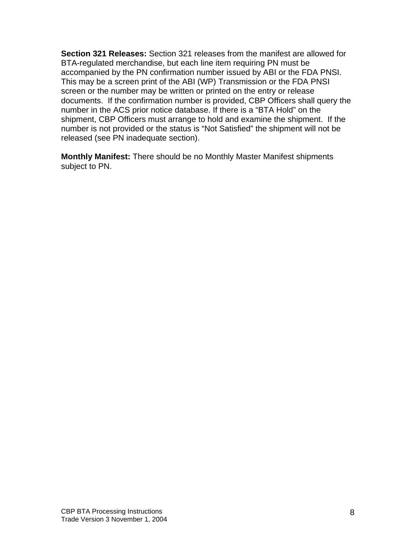**Section 321 Releases:** Section 321 releases from the manifest are allowed for BTA-regulated merchandise, but each line item requiring PN must be accompanied by the PN confirmation number issued by ABI or the FDA PNSI. This may be a screen print of the ABI (WP) Transmission or the FDA PNSI screen or the number may be written or printed on the entry or release documents. If the confirmation number is provided, CBP Officers shall query the number in the ACS prior notice database. If there is a "BTA Hold" on the shipment, CBP Officers must arrange to hold and examine the shipment. If the number is not provided or the status is "Not Satisfied" the shipment will not be released (see PN inadequate section).

**Monthly Manifest:** There should be no Monthly Master Manifest shipments subject to PN.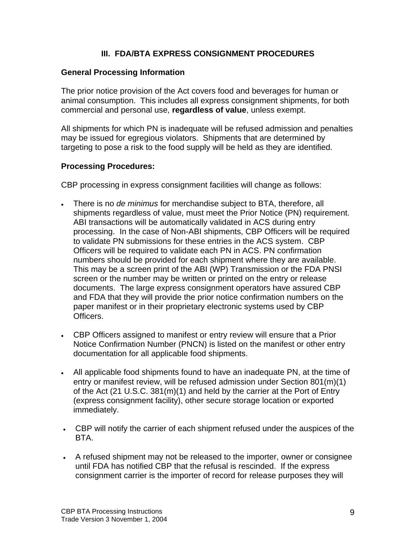# **III. FDA/BTA EXPRESS CONSIGNMENT PROCEDURES**

### **General Processing Information**

The prior notice provision of the Act covers food and beverages for human or animal consumption. This includes all express consignment shipments, for both commercial and personal use, **regardless of value**, unless exempt.

All shipments for which PN is inadequate will be refused admission and penalties may be issued for egregious violators. Shipments that are determined by targeting to pose a risk to the food supply will be held as they are identified.

### **Processing Procedures:**

CBP processing in express consignment facilities will change as follows:

- There is no *de minimus* for merchandise subject to BTA, therefore, all shipments regardless of value, must meet the Prior Notice (PN) requirement. ABI transactions will be automatically validated in ACS during entry processing. In the case of Non-ABI shipments, CBP Officers will be required to validate PN submissions for these entries in the ACS system. CBP Officers will be required to validate each PN in ACS. PN confirmation numbers should be provided for each shipment where they are available. This may be a screen print of the ABI (WP) Transmission or the FDA PNSI screen or the number may be written or printed on the entry or release documents. The large express consignment operators have assured CBP and FDA that they will provide the prior notice confirmation numbers on the paper manifest or in their proprietary electronic systems used by CBP Officers.
- CBP Officers assigned to manifest or entry review will ensure that a Prior Notice Confirmation Number (PNCN) is listed on the manifest or other entry documentation for all applicable food shipments.
- All applicable food shipments found to have an inadequate PN, at the time of entry or manifest review, will be refused admission under Section 801(m)(1) of the Act (21 U.S.C. 381(m)(1) and held by the carrier at the Port of Entry (express consignment facility), other secure storage location or exported immediately.
- CBP will notify the carrier of each shipment refused under the auspices of the BTA.
- A refused shipment may not be released to the importer, owner or consignee until FDA has notified CBP that the refusal is rescinded. If the express consignment carrier is the importer of record for release purposes they will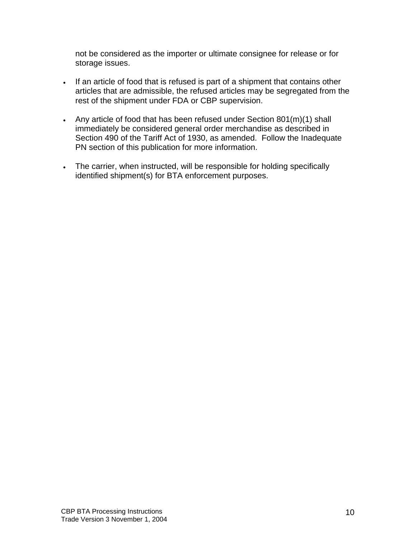not be considered as the importer or ultimate consignee for release or for storage issues.

- If an article of food that is refused is part of a shipment that contains other articles that are admissible, the refused articles may be segregated from the rest of the shipment under FDA or CBP supervision.
- Any article of food that has been refused under Section 801(m)(1) shall immediately be considered general order merchandise as described in Section 490 of the Tariff Act of 1930, as amended. Follow the Inadequate PN section of this publication for more information.
- The carrier, when instructed, will be responsible for holding specifically identified shipment(s) for BTA enforcement purposes.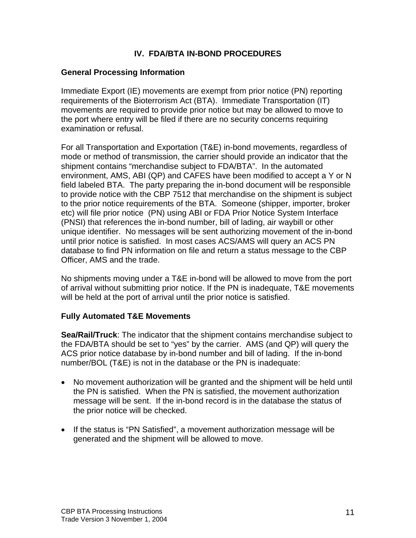# **IV. FDA/BTA IN-BOND PROCEDURES**

## **General Processing Information**

Immediate Export (IE) movements are exempt from prior notice (PN) reporting requirements of the Bioterrorism Act (BTA). Immediate Transportation (IT) movements are required to provide prior notice but may be allowed to move to the port where entry will be filed if there are no security concerns requiring examination or refusal.

For all Transportation and Exportation (T&E) in-bond movements, regardless of mode or method of transmission, the carrier should provide an indicator that the shipment contains "merchandise subject to FDA/BTA". In the automated environment, AMS, ABI (QP) and CAFES have been modified to accept a Y or N field labeled BTA. The party preparing the in-bond document will be responsible to provide notice with the CBP 7512 that merchandise on the shipment is subject to the prior notice requirements of the BTA. Someone (shipper, importer, broker etc) will file prior notice (PN) using ABI or FDA Prior Notice System Interface (PNSI) that references the in-bond number, bill of lading, air waybill or other unique identifier. No messages will be sent authorizing movement of the in-bond until prior notice is satisfied. In most cases ACS/AMS will query an ACS PN database to find PN information on file and return a status message to the CBP Officer, AMS and the trade.

No shipments moving under a T&E in-bond will be allowed to move from the port of arrival without submitting prior notice. If the PN is inadequate, T&E movements will be held at the port of arrival until the prior notice is satisfied.

#### **Fully Automated T&E Movements**

**Sea/Rail/Truck**: The indicator that the shipment contains merchandise subject to the FDA/BTA should be set to "yes" by the carrier. AMS (and QP) will query the ACS prior notice database by in-bond number and bill of lading. If the in-bond number/BOL (T&E) is not in the database or the PN is inadequate:

- No movement authorization will be granted and the shipment will be held until the PN is satisfied. When the PN is satisfied, the movement authorization message will be sent. If the in-bond record is in the database the status of the prior notice will be checked.
- If the status is "PN Satisfied", a movement authorization message will be generated and the shipment will be allowed to move.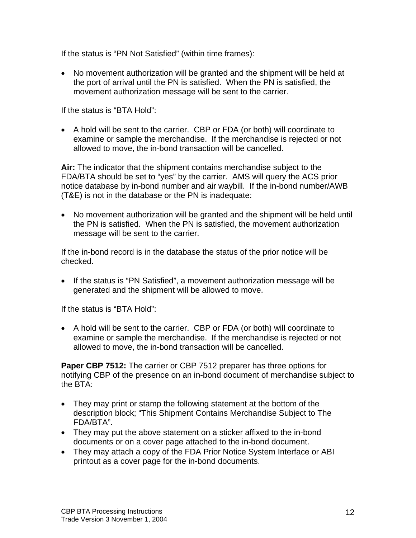If the status is "PN Not Satisfied" (within time frames):

 No movement authorization will be granted and the shipment will be held at the port of arrival until the PN is satisfied. When the PN is satisfied, the movement authorization message will be sent to the carrier.

If the status is "BTA Hold":

 A hold will be sent to the carrier. CBP or FDA (or both) will coordinate to examine or sample the merchandise. If the merchandise is rejected or not allowed to move, the in-bond transaction will be cancelled.

**Air:** The indicator that the shipment contains merchandise subject to the FDA/BTA should be set to "yes" by the carrier. AMS will query the ACS prior notice database by in-bond number and air waybill. If the in-bond number/AWB (T&E) is not in the database or the PN is inadequate:

 No movement authorization will be granted and the shipment will be held until the PN is satisfied. When the PN is satisfied, the movement authorization message will be sent to the carrier.

If the in-bond record is in the database the status of the prior notice will be checked.

• If the status is "PN Satisfied", a movement authorization message will be generated and the shipment will be allowed to move.

If the status is "BTA Hold":

 A hold will be sent to the carrier. CBP or FDA (or both) will coordinate to examine or sample the merchandise. If the merchandise is rejected or not allowed to move, the in-bond transaction will be cancelled.

**Paper CBP 7512:** The carrier or CBP 7512 preparer has three options for notifying CBP of the presence on an in-bond document of merchandise subject to the BTA:

- They may print or stamp the following statement at the bottom of the description block; "This Shipment Contains Merchandise Subject to The FDA/BTA".
- They may put the above statement on a sticker affixed to the in-bond documents or on a cover page attached to the in-bond document.
- They may attach a copy of the FDA Prior Notice System Interface or ABI printout as a cover page for the in-bond documents.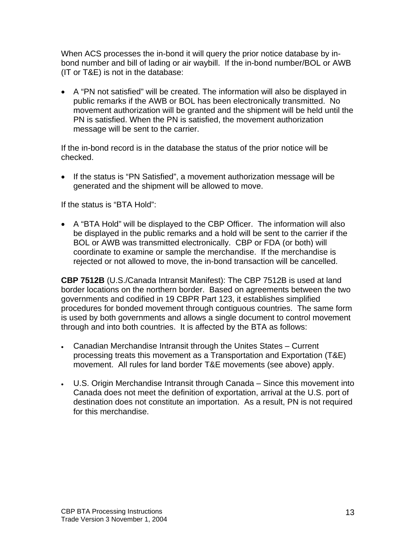When ACS processes the in-bond it will query the prior notice database by inbond number and bill of lading or air waybill. If the in-bond number/BOL or AWB (IT or T&E) is not in the database:

 A "PN not satisfied" will be created. The information will also be displayed in public remarks if the AWB or BOL has been electronically transmitted. No movement authorization will be granted and the shipment will be held until the PN is satisfied. When the PN is satisfied, the movement authorization message will be sent to the carrier.

If the in-bond record is in the database the status of the prior notice will be checked.

• If the status is "PN Satisfied", a movement authorization message will be generated and the shipment will be allowed to move.

If the status is "BTA Hold":

 A "BTA Hold" will be displayed to the CBP Officer. The information will also be displayed in the public remarks and a hold will be sent to the carrier if the BOL or AWB was transmitted electronically. CBP or FDA (or both) will coordinate to examine or sample the merchandise. If the merchandise is rejected or not allowed to move, the in-bond transaction will be cancelled.

**CBP 7512B** (U.S./Canada Intransit Manifest): The CBP 7512B is used at land border locations on the northern border. Based on agreements between the two governments and codified in 19 CBPR Part 123, it establishes simplified procedures for bonded movement through contiguous countries. The same form is used by both governments and allows a single document to control movement through and into both countries. It is affected by the BTA as follows:

- Canadian Merchandise Intransit through the Unites States Current processing treats this movement as a Transportation and Exportation (T&E) movement. All rules for land border T&E movements (see above) apply.
- U.S. Origin Merchandise Intransit through Canada Since this movement into Canada does not meet the definition of exportation, arrival at the U.S. port of destination does not constitute an importation. As a result, PN is not required for this merchandise.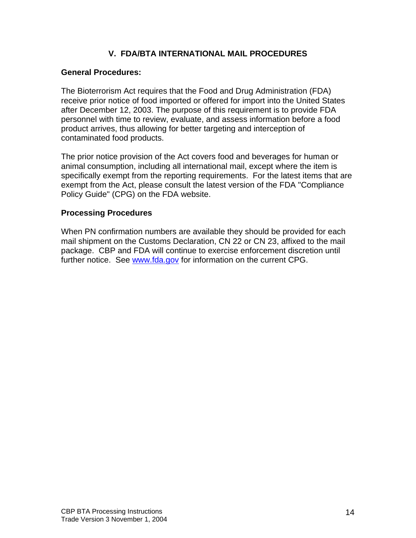## **V. FDA/BTA INTERNATIONAL MAIL PROCEDURES**

### **General Procedures:**

The Bioterrorism Act requires that the Food and Drug Administration (FDA) receive prior notice of food imported or offered for import into the United States after December 12, 2003. The purpose of this requirement is to provide FDA personnel with time to review, evaluate, and assess information before a food product arrives, thus allowing for better targeting and interception of contaminated food products.

The prior notice provision of the Act covers food and beverages for human or animal consumption, including all international mail, except where the item is specifically exempt from the reporting requirements. For the latest items that are exempt from the Act, please consult the latest version of the FDA "Compliance Policy Guide" (CPG) on the FDA website.

### **Processing Procedures**

When PN confirmation numbers are available they should be provided for each mail shipment on the Customs Declaration, CN 22 or CN 23, affixed to the mail package. CBP and FDA will continue to exercise enforcement discretion until further notice. See [www.fda.gov](http://www.fda.gov/) for information on the current CPG.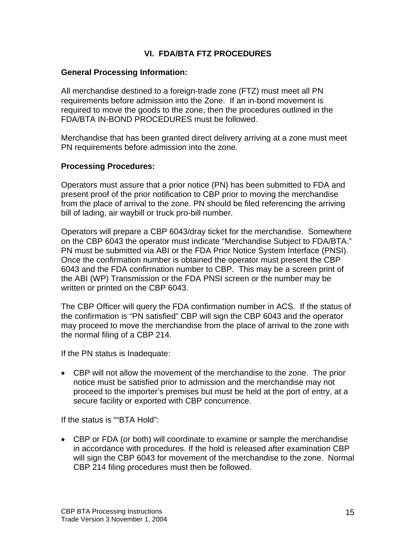## **VI. FDA/BTA FTZ PROCEDURES**

### **General Processing Information:**

All merchandise destined to a foreign-trade zone (FTZ) must meet all PN requirements before admission into the Zone. If an in-bond movement is required to move the goods to the zone, then the procedures outlined in the FDA/BTA IN-BOND PROCEDURES must be followed.

Merchandise that has been granted direct delivery arriving at a zone must meet PN requirements before admission into the zone.

### **Processing Procedures:**

Operators must assure that a prior notice (PN) has been submitted to FDA and present proof of the prior notification to CBP prior to moving the merchandise from the place of arrival to the zone. PN should be filed referencing the arriving bill of lading, air waybill or truck pro-bill number.

Operators will prepare a CBP 6043/dray ticket for the merchandise. Somewhere on the CBP 6043 the operator must indicate "Merchandise Subject to FDA/BTA." PN must be submitted via ABI or the FDA Prior Notice System Interface (PNSI). Once the confirmation number is obtained the operator must present the CBP 6043 and the FDA confirmation number to CBP.This may be a screen print of the ABI (WP) Transmission or the FDA PNSI screen or the number may be written or printed on the CBP 6043.

The CBP Officer will query the FDA confirmation number in ACS. If the status of the confirmation is "PN satisfied" CBP will sign the CBP 6043 and the operator may proceed to move the merchandise from the place of arrival to the zone with the normal filing of a CBP 214.

If the PN status is Inadequate:

 CBP will not allow the movement of the merchandise to the zone. The prior notice must be satisfied prior to admission and the merchandise may not proceed to the importer's premises but must be held at the port of entry, at a secure facility or exported with CBP concurrence.

If the status is ""BTA Hold":

 CBP or FDA (or both) will coordinate to examine or sample the merchandise in accordance with procedures. If the hold is released after examination CBP will sign the CBP 6043 for movement of the merchandise to the zone. Normal CBP 214 filing procedures must then be followed.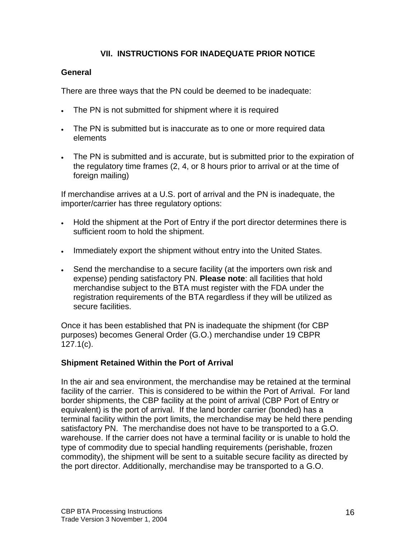# **VII. INSTRUCTIONS FOR INADEQUATE PRIOR NOTICE**

## **General**

There are three ways that the PN could be deemed to be inadequate:

- The PN is not submitted for shipment where it is required
- The PN is submitted but is inaccurate as to one or more required data elements
- The PN is submitted and is accurate, but is submitted prior to the expiration of the regulatory time frames (2, 4, or 8 hours prior to arrival or at the time of foreign mailing)

If merchandise arrives at a U.S. port of arrival and the PN is inadequate, the importer/carrier has three regulatory options:

- Hold the shipment at the Port of Entry if the port director determines there is sufficient room to hold the shipment.
- Immediately export the shipment without entry into the United States.
- Send the merchandise to a secure facility (at the importers own risk and expense) pending satisfactory PN. **Please note**: all facilities that hold merchandise subject to the BTA must register with the FDA under the registration requirements of the BTA regardless if they will be utilized as secure facilities.

Once it has been established that PN is inadequate the shipment (for CBP purposes) becomes General Order (G.O.) merchandise under 19 CBPR 127.1(c).

## **Shipment Retained Within the Port of Arrival**

In the air and sea environment, the merchandise may be retained at the terminal facility of the carrier. This is considered to be within the Port of Arrival. For land border shipments, the CBP facility at the point of arrival (CBP Port of Entry or equivalent) is the port of arrival. If the land border carrier (bonded) has a terminal facility within the port limits, the merchandise may be held there pending satisfactory PN. The merchandise does not have to be transported to a G.O. warehouse. If the carrier does not have a terminal facility or is unable to hold the type of commodity due to special handling requirements (perishable, frozen commodity), the shipment will be sent to a suitable secure facility as directed by the port director. Additionally, merchandise may be transported to a G.O.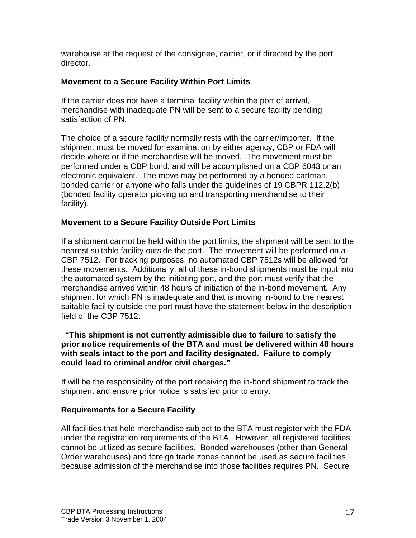warehouse at the request of the consignee, carrier, or if directed by the port director.

### **Movement to a Secure Facility Within Port Limits**

If the carrier does not have a terminal facility within the port of arrival, merchandise with inadequate PN will be sent to a secure facility pending satisfaction of PN.

The choice of a secure facility normally rests with the carrier/importer. If the shipment must be moved for examination by either agency, CBP or FDA will decide where or if the merchandise will be moved. The movement must be performed under a CBP bond, and will be accomplished on a CBP 6043 or an electronic equivalent. The move may be performed by a bonded cartman, bonded carrier or anyone who falls under the guidelines of 19 CBPR 112.2(b) (bonded facility operator picking up and transporting merchandise to their facility).

### **Movement to a Secure Facility Outside Port Limits**

If a shipment cannot be held within the port limits, the shipment will be sent to the nearest suitable facility outside the port. The movement will be performed on a CBP 7512. For tracking purposes, no automated CBP 7512s will be allowed for these movements. Additionally, all of these in-bond shipments must be input into the automated system by the initiating port, and the port must verify that the merchandise arrived within 48 hours of initiation of the in-bond movement. Any shipment for which PN is inadequate and that is moving in-bond to the nearest suitable facility outside the port must have the statement below in the description field of the CBP 7512:

#### **"This shipment is not currently admissible due to failure to satisfy the prior notice requirements of the BTA and must be delivered within 48 hours with seals intact to the port and facility designated. Failure to comply could lead to criminal and/or civil charges."**

It will be the responsibility of the port receiving the in-bond shipment to track the shipment and ensure prior notice is satisfied prior to entry.

#### **Requirements for a Secure Facility**

All facilities that hold merchandise subject to the BTA must register with the FDA under the registration requirements of the BTA. However, all registered facilities cannot be utilized as secure facilities. Bonded warehouses (other than General Order warehouses) and foreign trade zones cannot be used as secure facilities because admission of the merchandise into those facilities requires PN. Secure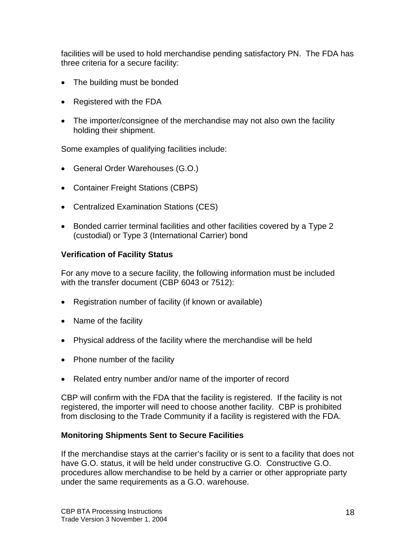facilities will be used to hold merchandise pending satisfactory PN. The FDA has three criteria for a secure facility:

- The building must be bonded
- Registered with the FDA
- The importer/consignee of the merchandise may not also own the facility holding their shipment.

Some examples of qualifying facilities include:

- General Order Warehouses (G.O.)
- Container Freight Stations (CBPS)
- Centralized Examination Stations (CES)
- Bonded carrier terminal facilities and other facilities covered by a Type 2 (custodial) or Type 3 (International Carrier) bond

## **Verification of Facility Status**

For any move to a secure facility, the following information must be included with the transfer document (CBP 6043 or 7512):

- Registration number of facility (if known or available)
- Name of the facility
- Physical address of the facility where the merchandise will be held
- Phone number of the facility
- Related entry number and/or name of the importer of record

CBP will confirm with the FDA that the facility is registered. If the facility is not registered, the importer will need to choose another facility. CBP is prohibited from disclosing to the Trade Community if a facility is registered with the FDA.

## **Monitoring Shipments Sent to Secure Facilities**

If the merchandise stays at the carrier's facility or is sent to a facility that does not have G.O. status, it will be held under constructive G.O. Constructive G.O. procedures allow merchandise to be held by a carrier or other appropriate party under the same requirements as a G.O. warehouse.